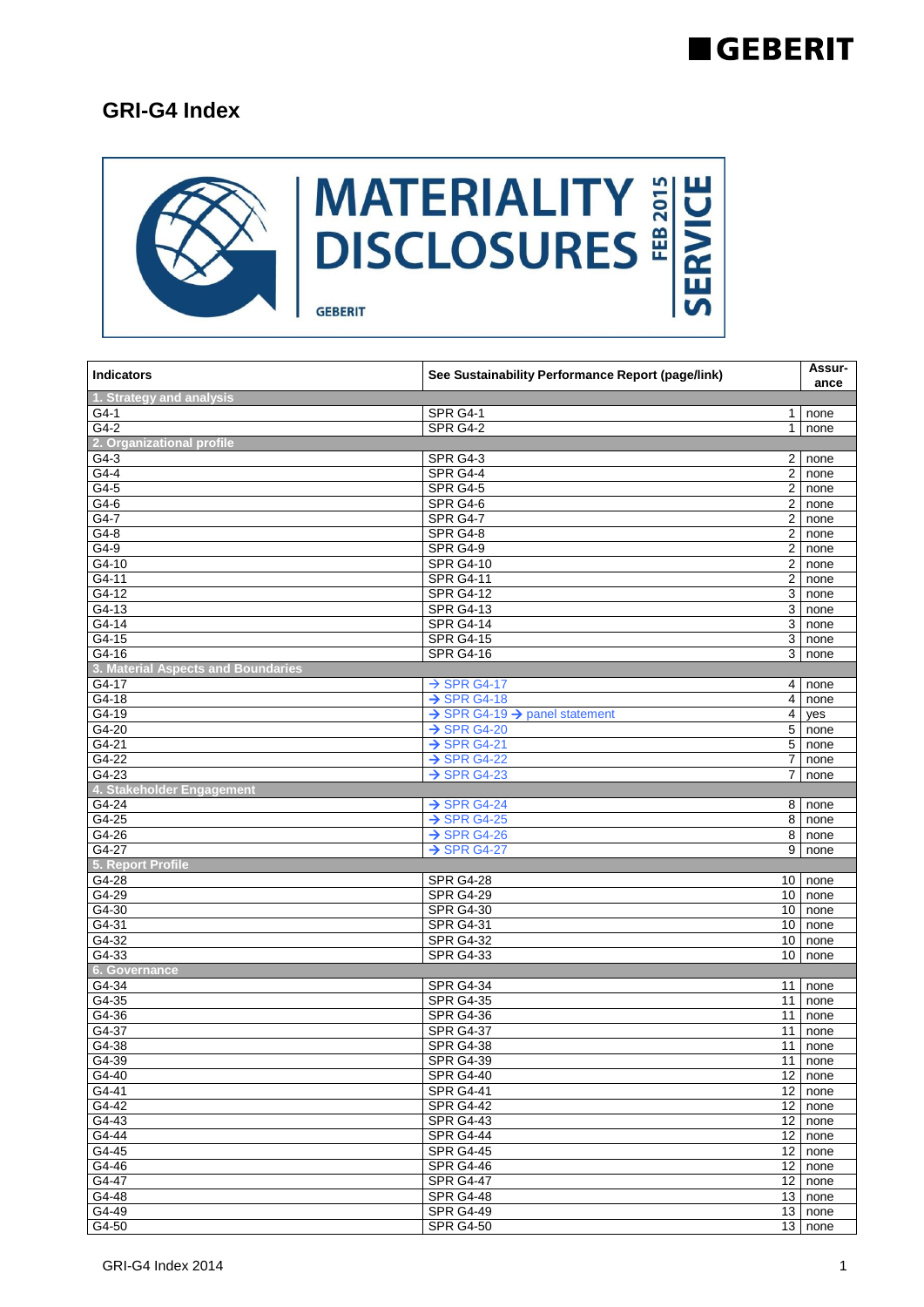#### **GEBERIT**

#### **GRI-G4 Index**



| <b>Indicators</b>                  | See Sustainability Performance Report (page/link)     |                 | Assur-<br>ance       |
|------------------------------------|-------------------------------------------------------|-----------------|----------------------|
| 1. Strategy and analysis           |                                                       |                 |                      |
| G4-1                               | SPR G4-1                                              |                 | $1$ none             |
| $G4-2$                             | <b>SPR G4-2</b>                                       |                 | 1 none               |
| 2. Organizational profile          |                                                       |                 |                      |
| $G4-3$                             | SPR G4-3                                              |                 | 2 none               |
| $G4-4$                             | SPR G4-4                                              | $\overline{2}$  | none                 |
| G4-5                               | <b>SPR G4-5</b>                                       | $\overline{2}$  | none                 |
| G4-6                               | <b>SPR G4-6</b>                                       | $2^{\circ}$     | none                 |
| G4-7                               | SPR G4-7                                              | $\overline{a}$  | none                 |
| $G4-8$                             | SPR G4-8                                              | $\overline{2}$  | none                 |
| G4-9                               | SPR G4-9                                              | $\overline{2}$  | none                 |
| G4-10                              | <b>SPR G4-10</b>                                      | $\overline{2}$  | none                 |
| G4-11                              | <b>SPR G4-11</b>                                      | $\overline{2}$  | none                 |
| $G4-12$                            | <b>SPR G4-12</b>                                      | 3               | none                 |
| G4-13                              | <b>SPR G4-13</b>                                      | $\overline{3}$  | none                 |
| $G4-14$                            | <b>SPR G4-14</b>                                      | 3 <sup>1</sup>  | none                 |
| $G4-15$                            | <b>SPR G4-15</b>                                      | 3 <sup>1</sup>  | none                 |
| $G4-16$                            | <b>SPR G4-16</b>                                      | 3               | none                 |
| 3. Material Aspects and Boundaries |                                                       |                 |                      |
| G4-17                              | $\rightarrow$ SPR G4-17                               |                 | $\overline{4}$ none  |
| G4-18                              | $\rightarrow$ SPR G4-18                               | 4 <sup>1</sup>  | none                 |
| G4-19                              | $\rightarrow$ SPR G4-19 $\rightarrow$ panel statement | $\overline{4}$  | yes                  |
| $G4-20$                            | $\rightarrow$ SPR G4-20                               | $\overline{5}$  | none                 |
| $G4-21$                            | $\rightarrow$ SPR G4-21                               |                 | 5 none               |
| $G4-22$                            | $\rightarrow$ SPR G4-22                               | $\overline{7}$  | none                 |
| $G4-23$                            | $\rightarrow$ SPR G4-23                               |                 | 7 none               |
| 4. Stakeholder Engagement          |                                                       |                 |                      |
| G4-24                              | $\rightarrow$ SPR G4-24                               | 8 <sup>1</sup>  | none                 |
| $G4-25$                            | $\rightarrow$ SPR G4-25                               | 8               | none                 |
| $G4-26$                            | $\rightarrow$ SPR G4-26                               | 8               | none                 |
| $G4-27$                            | $\rightarrow$ SPR G4-27                               | 9               | none                 |
| 5. Report Profile                  |                                                       |                 |                      |
| G4-28                              | <b>SPR G4-28</b>                                      |                 | 10 none              |
| $G4-29$                            | <b>SPR G4-29</b>                                      | 10 <sup>1</sup> | none                 |
| $G4-30$                            | <b>SPR G4-30</b>                                      |                 | 10 none              |
| $G4-31$                            | <b>SPR G4-31</b>                                      |                 | 10 none              |
| G4-32                              | <b>SPR G4-32</b>                                      |                 | 10 none              |
| G4-33                              | <b>SPR G4-33</b>                                      | 10 <sup>1</sup> | none                 |
| 6. Governance                      |                                                       |                 |                      |
| G4-34                              | <b>SPR G4-34</b>                                      | 11              | none                 |
| $G4-35$                            | <b>SPR G4-35</b>                                      | 11              | none                 |
| $G4-36$                            | <b>SPR G4-36</b>                                      | 11              | none                 |
| G4-37                              | <b>SPR G4-37</b>                                      | 11              | none                 |
| $G4-38$                            | <b>SPR G4-38</b>                                      | 11              | none                 |
| G4-39                              | <b>SPR G4-39</b>                                      |                 | 11 none              |
| G4-40                              | <b>SPR G4-40</b>                                      |                 | 12 none              |
| $G4-41$                            | <b>SPR G4-41</b>                                      |                 | $\overline{12}$ none |
| G4-42                              | <b>SPR G4-42</b>                                      | 12              | none                 |
| G4-43                              | <b>SPR G4-43</b>                                      |                 | 12 none              |
| $G4-44$                            | <b>SPR G4-44</b>                                      |                 | 12 none              |
| $G4-45$                            | <b>SPR G4-45</b>                                      |                 | 12 none              |
| G4-46                              | <b>SPR G4-46</b>                                      |                 | $12$ none            |
| G4-47                              | <b>SPR G4-47</b>                                      |                 | $\overline{12}$ none |
| G4-48                              | <b>SPR G4-48</b>                                      |                 | 13 none              |
| G4-49                              | <b>SPR G4-49</b>                                      |                 | 13 none              |
| G4-50                              | <b>SPR G4-50</b>                                      | 13              | none                 |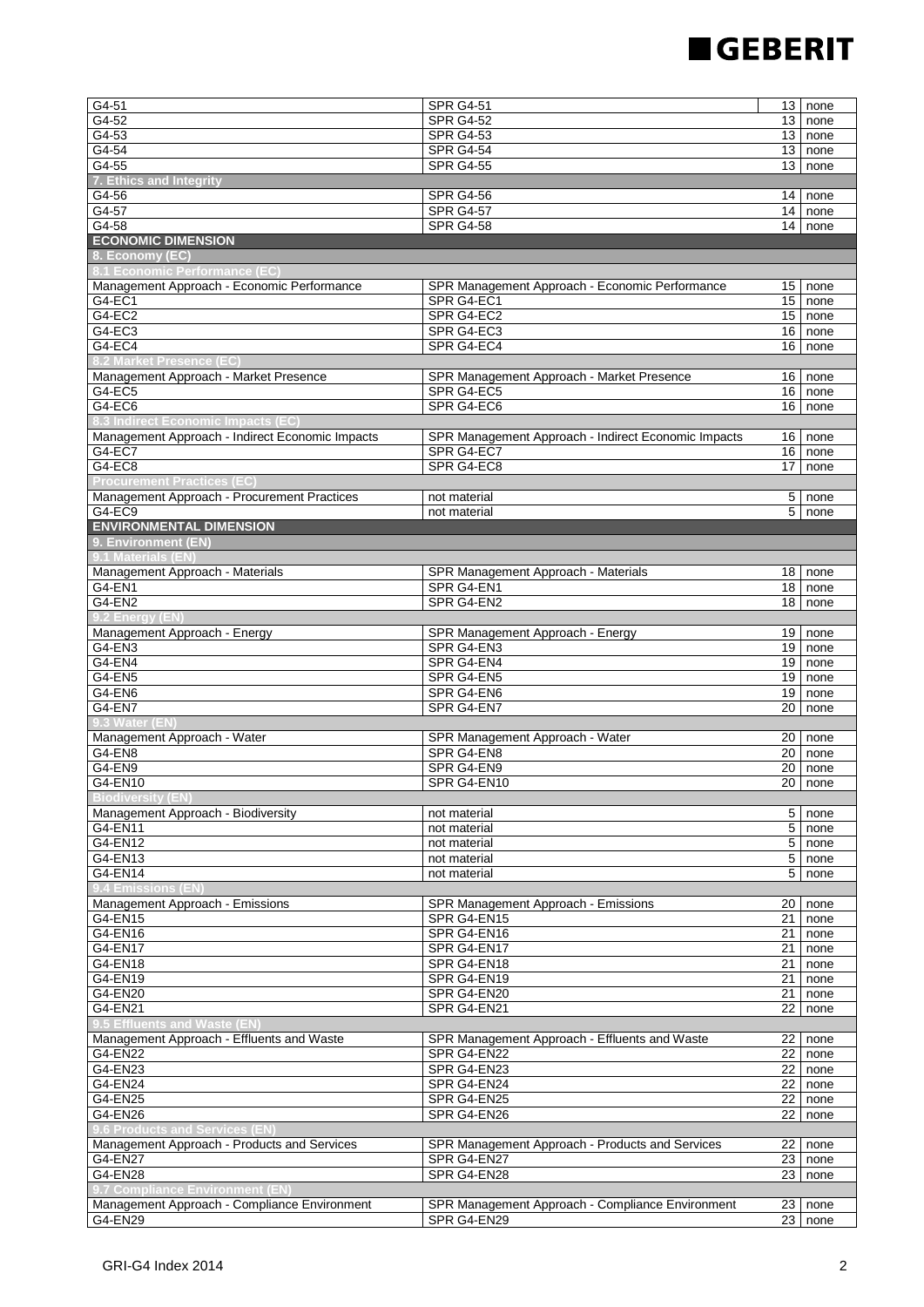# **GEBERIT**

 $\overline{\phantom{a}}$ 

| G4-51                                                                        | <b>SPR G4-51</b>                                    | 13             | none                 |
|------------------------------------------------------------------------------|-----------------------------------------------------|----------------|----------------------|
| G4-52                                                                        | <b>SPR G4-52</b>                                    |                | $13$ none            |
| $G4-53$                                                                      | <b>SPR G4-53</b>                                    | 13             | none                 |
| $G4-54$                                                                      | <b>SPR G4-54</b>                                    |                | $13$ none            |
| $G4-55$                                                                      | <b>SPR G4-55</b>                                    | 13             | none                 |
| 7. Ethics and Integrity                                                      |                                                     |                |                      |
| G4-56                                                                        | <b>SPR G4-56</b>                                    | 14             | none                 |
| $G4-57$                                                                      | <b>SPR G4-57</b>                                    |                | $14$ none            |
| $G4-58$                                                                      | <b>SPR G4-58</b>                                    | 14             | none                 |
| <b>ECONOMIC DIMENSION</b>                                                    |                                                     |                |                      |
| 8. Economy (EC)                                                              |                                                     |                |                      |
| 8.1 Economic Performance (EC)                                                |                                                     |                |                      |
| Management Approach - Economic Performance                                   | SPR Management Approach - Economic Performance      | 15             | none                 |
| G4-EC1                                                                       | SPR G4-EC1                                          | 15             | none                 |
| G4-EC2                                                                       | SPR G4-EC2                                          | 15             | none                 |
| G4-EC3                                                                       | SPR G4-EC3                                          |                | $16$ none            |
| $G4-EC4$                                                                     | SPR G4-EC4                                          | 16             | none                 |
| 8.2 Market Presence (EC)                                                     |                                                     |                |                      |
| Management Approach - Market Presence                                        | SPR Management Approach - Market Presence           | 16             | none                 |
| G4-EC5                                                                       | SPR G4-EC5                                          |                | $16$ none            |
| G4-EC6                                                                       | SPR G4-EC6                                          | 16             | none                 |
| 8.3 Indirect Economic Impacts (EC)                                           |                                                     |                |                      |
| Management Approach - Indirect Economic Impacts                              | SPR Management Approach - Indirect Economic Impacts | 16             | none                 |
| $G4-EC7$                                                                     | SPR G4-EC7                                          | 16             | none                 |
| G4-EC8                                                                       | SPR G4-EC8                                          | 17             | none                 |
| <b>Procurement Practices (EC)</b>                                            |                                                     |                |                      |
| Management Approach - Procurement Practices                                  | not material                                        | 5              |                      |
| G4-EC9                                                                       | not material                                        |                | none<br>$5$ none     |
| <b>ENVIRONMENTAL DIMENSION</b>                                               |                                                     |                |                      |
| 9. Environment (EN)                                                          |                                                     |                |                      |
| 9.1 Materials (El                                                            |                                                     |                |                      |
| Management Approach - Materials                                              |                                                     | 18             |                      |
|                                                                              | SPR Management Approach - Materials<br>SPR G4-EN1   |                | none                 |
| G4-EN1<br>G4-EN2                                                             | SPR G4-EN2                                          | 18             | 18 none<br>none      |
| 9.2 Energy (EN)                                                              |                                                     |                |                      |
|                                                                              |                                                     |                |                      |
| Management Approach - Energy<br>$G4$ -EN3                                    | SPR Management Approach - Energy<br>SPR G4-EN3      | 19             | 19 none              |
|                                                                              |                                                     |                | none                 |
| G4-EN4<br>G4-EN5                                                             | SPR G4-EN4<br>SPR G4-EN5                            | 19<br>19       | none                 |
|                                                                              |                                                     |                | none                 |
| G4-EN6                                                                       | SPR G4-EN6                                          |                | $19$ none<br>none    |
| G4-EN7                                                                       | SPR G4-EN7                                          | 20             |                      |
| 9.3 Water (EN                                                                |                                                     |                |                      |
| Management Approach - Water                                                  | SPR Management Approach - Water                     | 20             | none                 |
| G4-EN8                                                                       | SPR G4-EN8                                          | 20             | none<br>none         |
| G4-EN9<br>G4-EN10                                                            | SPR G4-EN9                                          | 20             |                      |
|                                                                              | SPR G4-EN10                                         | 20             | none                 |
| <b>Biodiversity (EN)</b>                                                     |                                                     |                |                      |
| Management Approach - Biodiversity                                           | not material                                        | 5              | none                 |
| G4-EN11                                                                      | not material                                        |                | 5 none               |
| G4-EN12                                                                      | not material                                        |                | $5$ none             |
| G4-EN13                                                                      | not material                                        | $\overline{5}$ | none                 |
| G4-EN14                                                                      | not material                                        | 5              | none                 |
| 9.4 Emissions (EN)                                                           |                                                     |                |                      |
| Management Approach - Emissions                                              | SPR Management Approach - Emissions                 |                | $\overline{20}$ none |
| G4-EN15                                                                      | SPR G4-EN15                                         | 21             | none                 |
| G4-EN16                                                                      | SPR G4-EN16<br>SPR G4-EN17                          | 21             | none                 |
| G4-EN17                                                                      |                                                     | 21             | none                 |
| G4-EN18                                                                      | SPR G4-EN18                                         | 21             | none                 |
| G4-EN19                                                                      | SPR G4-EN19                                         |                | 21 none              |
| G4-EN20                                                                      | SPR G4-EN20                                         |                | $21$ none            |
| G4-EN21                                                                      | SPR G4-EN21                                         |                | 22 none              |
| 9.5 Effluents and Waste (EN                                                  |                                                     |                |                      |
| Management Approach - Effluents and Waste                                    | SPR Management Approach - Effluents and Waste       | 22             | none                 |
| G4-EN22                                                                      | SPR G4-EN22                                         |                | 22 none              |
| G4-EN23                                                                      | SPR G4-EN23                                         |                | $22$ none            |
| G4-EN24                                                                      | SPR G4-EN24                                         | 22             | none                 |
| G4-EN25                                                                      | SPR G4-EN25                                         |                | 22 none              |
| G4-EN26                                                                      | SPR G4-EN26                                         | 22             | none                 |
| 9.6 Products and Services (EN<br>Management Approach - Products and Services | SPR Management Approach - Products and Services     |                |                      |
|                                                                              |                                                     |                | $\overline{22}$ none |
| G4-EN27                                                                      | SPR G4-EN27                                         | 23             | none                 |
| G4-EN28                                                                      | SPR G4-EN28                                         | 23             | none                 |
| 9.7 Compliance Environment (EN                                               |                                                     |                |                      |
| Management Approach - Compliance Environment                                 | SPR Management Approach - Compliance Environment    | 23             | none                 |
| G4-EN29                                                                      | SPR G4-EN29                                         | 23             | none                 |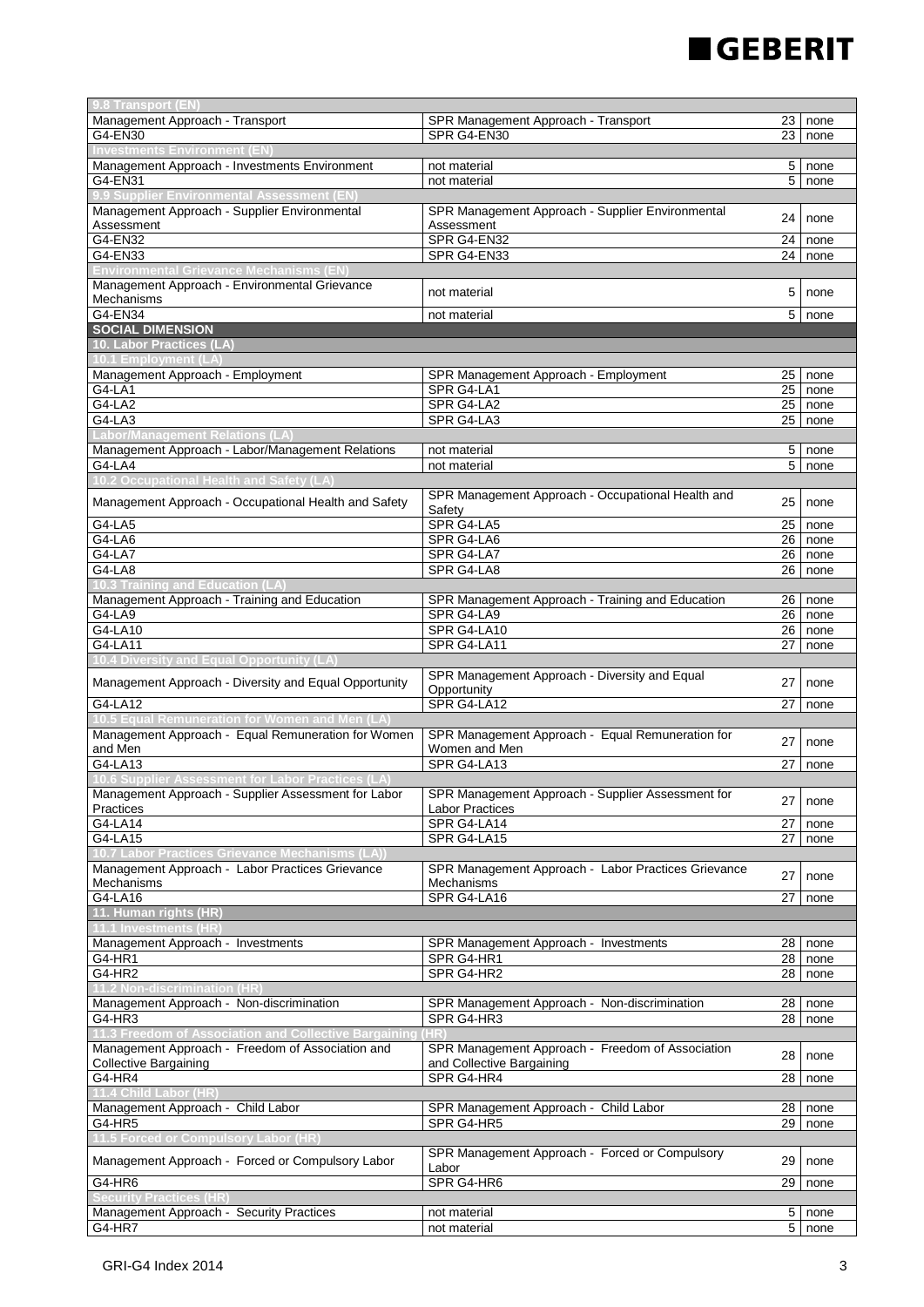# **EGEBERIT**

| 9.8 Transport (EN                                     |                                                     |      |             |
|-------------------------------------------------------|-----------------------------------------------------|------|-------------|
| Management Approach - Transport                       | SPR Management Approach - Transport                 |      | $23$   none |
| G4-EN30                                               | SPR G4-EN30                                         | 23   | none        |
|                                                       |                                                     |      |             |
| Management Approach - Investments Environment         | not material                                        | 5    | none        |
| G4-EN31                                               | not material                                        | 5    | none        |
| 9.9 Supplier Environmental Assessment (EN             |                                                     |      |             |
| Management Approach - Supplier Environmental          |                                                     |      |             |
|                                                       | SPR Management Approach - Supplier Environmental    | 24   | none        |
| Assessment                                            | Assessment                                          |      |             |
| G4-EN32                                               | SPR G4-EN32                                         | 24   | none        |
| G4-EN33                                               | SPR G4-EN33                                         | 24   | none        |
| <b>Environmental Grievance Mechanisms (EN</b>         |                                                     |      |             |
| Management Approach - Environmental Grievance         | not material                                        | 5    |             |
| Mechanisms                                            |                                                     |      | none        |
| G4-EN34                                               | not material                                        | 5    | none        |
| <b>SOCIAL DIMENSION</b>                               |                                                     |      |             |
| 10. Labor Practices (LA)                              |                                                     |      |             |
| <b>0.1 Employment (L.</b>                             |                                                     |      |             |
| Management Approach - Employment                      | SPR Management Approach - Employment                | 25   | none        |
|                                                       |                                                     |      |             |
| G4-LA1                                                | SPR G4-LA1                                          | 25   | none        |
| $G4-LA2$                                              | SPR G4-LA2                                          | 25   | none        |
| G4-LA3                                                | SPR G4-LA3                                          | 25   | none        |
| Labor/Management Relations (LA)                       |                                                     |      |             |
| Management Approach - Labor/Management Relations      | not material                                        | 5    | none        |
| $G4$ -LA4                                             | not material                                        | 5    | none        |
|                                                       |                                                     |      |             |
|                                                       | SPR Management Approach - Occupational Health and   |      |             |
| Management Approach - Occupational Health and Safety  | Safety                                              | 25   | none        |
| $G4-LA5$                                              | SPR G4-LA5                                          | 25   | none        |
| G4-LA6                                                | SPR G4-LA6                                          | 26   |             |
| $G4-LAT$                                              |                                                     |      | none        |
|                                                       | SPR G4-LA7                                          | 26   | none        |
| $G4-LA8$                                              | SPR G4-LA8                                          | 26   | none        |
| 0.3 Training and Education (LA                        |                                                     |      |             |
| Management Approach - Training and Education          | SPR Management Approach - Training and Education    | 26   | none        |
| G4-LA9                                                | SPR G4-LA9                                          | 26   | none        |
| G4-LA10                                               | SPR G4-LA10                                         | 26   | none        |
| G4-LA11                                               | SPR G4-LA11                                         | 27   | none        |
| 10.4 Diversity and Equal Opportunity (LA              |                                                     |      |             |
|                                                       | SPR Management Approach - Diversity and Equal       |      |             |
| Management Approach - Diversity and Equal Opportunity | Opportunity                                         | 27   | none        |
| G4-LA12                                               | SPR G4-LA12                                         | 27   |             |
|                                                       |                                                     |      | none        |
| 0.5 Equal Remuneration for Women and Men              |                                                     |      |             |
| Management Approach - Equal Remuneration for Women    | SPR Management Approach - Equal Remuneration for    | 27   | none        |
| and Men                                               | Women and Men                                       |      |             |
| G4-LA13                                               | SPR G4-LA13                                         | 27   | none        |
| Assessment for Labor Prac                             |                                                     |      |             |
| Management Approach - Supplier Assessment for Labor   | SPR Management Approach - Supplier Assessment for   |      |             |
| Practices                                             | <b>Labor Practices</b>                              |      | 27   none   |
| G4-LA14                                               | SPR G4-LA14                                         | 27   | none        |
| G4-LA15                                               | SPR G4-LA15                                         | 27   | none        |
|                                                       |                                                     |      |             |
| [0.7 Labor Practices Grievance Mechanisms (LA)        |                                                     |      |             |
| Management Approach - Labor Practices Grievance       | SPR Management Approach - Labor Practices Grievance | 27   | none        |
| Mechanisms                                            | Mechanisms                                          |      |             |
| G4-LA16                                               | SPR G4-LA16                                         | 27   | none        |
| 11. Human rights (HR)                                 |                                                     |      |             |
| 11.1 Investments (HR                                  |                                                     |      |             |
| Management Approach - Investments                     | SPR Management Approach - Investments               | 28   | none        |
| G4-HR1                                                | SPR G4-HR1                                          |      | 28 none     |
| G4-HR2                                                | SPR G4-HR2                                          | 28 I | none        |
| lon-discrimination (H                                 |                                                     |      |             |
| Management Approach - Non-discrimination              | SPR Management Approach - Non-discrimination        |      | 28   none   |
| G4-HR3                                                | SPR G4-HR3                                          | 28   | none        |
| 11.3 Freedom of Association and Collective Bargaining |                                                     |      |             |
|                                                       |                                                     |      |             |
| Management Approach - Freedom of Association and      | SPR Management Approach - Freedom of Association    | 28   | none        |
| <b>Collective Bargaining</b>                          | and Collective Bargaining                           |      |             |
| G4-HR4                                                | SPR G4-HR4                                          | 28   | none        |
| 11.4 Child Labor (HR                                  |                                                     |      |             |
| Management Approach - Child Labor                     | SPR Management Approach - Child Labor               | 28   | none        |
| G4-HR5                                                | SPR G4-HR5                                          | 29   | none        |
| 11.5 Forced or Compulsory Labor (HR                   |                                                     |      |             |
|                                                       | SPR Management Approach - Forced or Compulsory      |      |             |
| Management Approach - Forced or Compulsory Labor      | Labor                                               | 29   | none        |
| G4-HR6                                                | SPR G4-HR6                                          | 29   | none        |
| <b>Security Practices (HR)</b>                        |                                                     |      |             |
|                                                       |                                                     |      |             |
| Management Approach - Security Practices              | not material                                        | 5    | none        |
| G4-HR7                                                | not material                                        | 5    | none        |